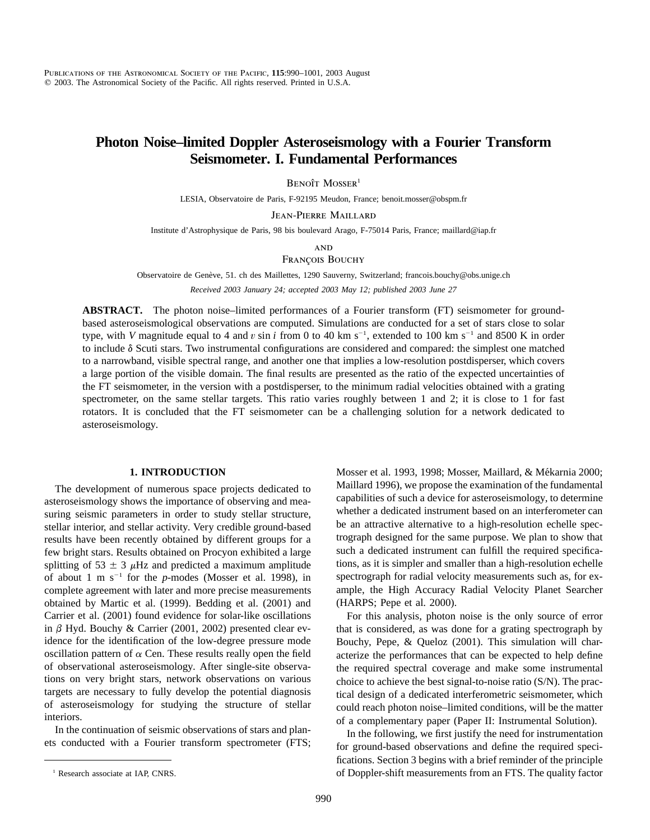# **Photon Noise–limited Doppler Asteroseismology with a Fourier Transform Seismometer. I. Fundamental Performances**

 $B$ enoît Mosser<sup>1</sup>

LESIA, Observatoire de Paris, F-92195 Meudon, France; benoit.mosser@obspm.fr

Jean-Pierre Maillard

Institute d'Astrophysique de Paris, 98 bis boulevard Arago, F-75014 Paris, France; maillard@iap.fr

**AND** 

FRANÇOIS BOUCHY

Observatoire de Genève, 51. ch des Maillettes, 1290 Sauverny, Switzerland; francois.bouchy@obs.unige.ch

*Received 2003 January 24; accepted 2003 May 12; published 2003 June 27*

**ABSTRACT.** The photon noise–limited performances of a Fourier transform (FT) seismometer for groundbased asteroseismological observations are computed. Simulations are conducted for a set of stars close to solar type, with *V* magnitude equal to 4 and v sin i from 0 to 40 km s<sup>-1</sup>, extended to 100 km s<sup>-1</sup> and 8500 K in order to include  $\delta$  Scuti stars. Two instrumental configurations are considered and compared: the simplest one matched to a narrowband, visible spectral range, and another one that implies a low-resolution postdisperser, which covers a large portion of the visible domain. The final results are presented as the ratio of the expected uncertainties of the FT seismometer, in the version with a postdisperser, to the minimum radial velocities obtained with a grating spectrometer, on the same stellar targets. This ratio varies roughly between 1 and 2; it is close to 1 for fast rotators. It is concluded that the FT seismometer can be a challenging solution for a network dedicated to asteroseismology.

#### **1. INTRODUCTION**

The development of numerous space projects dedicated to asteroseismology shows the importance of observing and measuring seismic parameters in order to study stellar structure, stellar interior, and stellar activity. Very credible ground-based results have been recently obtained by different groups for a few bright stars. Results obtained on Procyon exhibited a large splitting of 53  $\pm$  3  $\mu$ Hz and predicted a maximum amplitude of about 1 m s<sup> $-1$ </sup> for the *p*-modes (Mosser et al. 1998), in complete agreement with later and more precise measurements obtained by Martic et al. (1999). Bedding et al. (2001) and Carrier et al. (2001) found evidence for solar-like oscillations in  $\beta$  Hyd. Bouchy & Carrier (2001, 2002) presented clear evidence for the identification of the low-degree pressure mode oscillation pattern of  $\alpha$  Cen. These results really open the field of observational asteroseismology. After single-site observations on very bright stars, network observations on various targets are necessary to fully develop the potential diagnosis of asteroseismology for studying the structure of stellar interiors.

In the continuation of seismic observations of stars and planets conducted with a Fourier transform spectrometer (FTS; Mosser et al. 1993, 1998; Mosser, Maillard, & Mékarnia 2000; Maillard 1996), we propose the examination of the fundamental capabilities of such a device for asteroseismology, to determine whether a dedicated instrument based on an interferometer can be an attractive alternative to a high-resolution echelle spectrograph designed for the same purpose. We plan to show that such a dedicated instrument can fulfill the required specifications, as it is simpler and smaller than a high-resolution echelle spectrograph for radial velocity measurements such as, for example, the High Accuracy Radial Velocity Planet Searcher (HARPS; Pepe et al. 2000).

For this analysis, photon noise is the only source of error that is considered, as was done for a grating spectrograph by Bouchy, Pepe, & Queloz (2001). This simulation will characterize the performances that can be expected to help define the required spectral coverage and make some instrumental choice to achieve the best signal-to-noise ratio (S/N). The practical design of a dedicated interferometric seismometer, which could reach photon noise–limited conditions, will be the matter of a complementary paper (Paper II: Instrumental Solution).

In the following, we first justify the need for instrumentation for ground-based observations and define the required specifications. Section 3 begins with a brief reminder of the principle of Doppler-shift measurements from an FTS. The quality factor

<sup>&</sup>lt;sup>1</sup> Research associate at IAP, CNRS.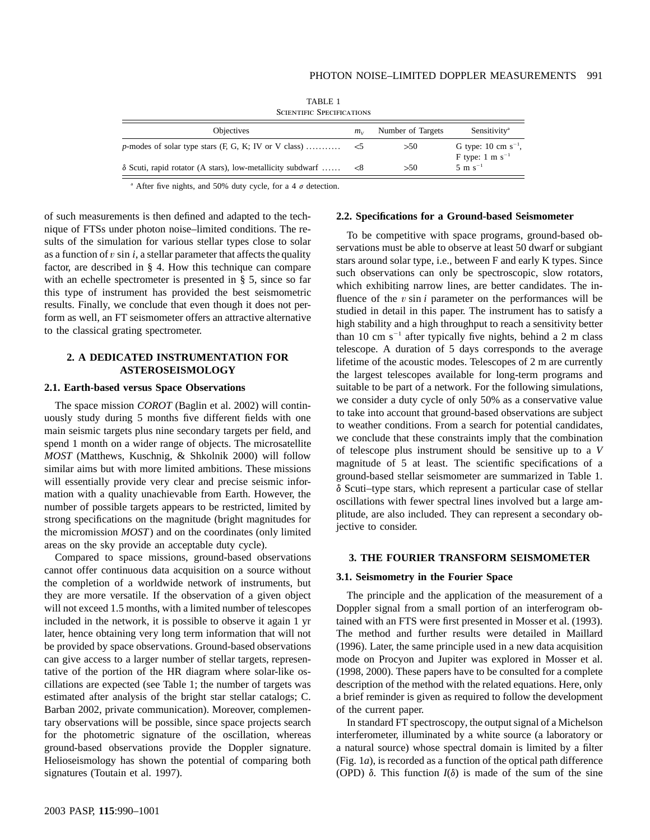| <b>SCIENTIFIC SPECIFICATIONS</b>                                  |         |                   |                                                  |  |  |  |  |
|-------------------------------------------------------------------|---------|-------------------|--------------------------------------------------|--|--|--|--|
| <b>Objectives</b>                                                 | $m_{V}$ | Number of Targets | Sensitivity <sup>a</sup>                         |  |  |  |  |
| p-modes of solar type stars $(F, G, K; IV)$ or V class)           |         | >50               | G type: 10 cm $s^{-1}$ ,<br>F type: 1 m $s^{-1}$ |  |  |  |  |
| $\delta$ Scuti, rapid rotator (A stars), low-metallicity subdwarf |         | >50               | $5 \text{ m s}^{-1}$                             |  |  |  |  |

TABLE 1

<sup>a</sup> After five nights, and 50% duty cycle, for a 4  $\sigma$  detection.

of such measurements is then defined and adapted to the technique of FTSs under photon noise–limited conditions. The results of the simulation for various stellar types close to solar as a function of  $v \sin i$ , a stellar parameter that affects the quality factor, are described in § 4. How this technique can compare with an echelle spectrometer is presented in § 5, since so far this type of instrument has provided the best seismometric results. Finally, we conclude that even though it does not perform as well, an FT seismometer offers an attractive alternative to the classical grating spectrometer.

# **2. A DEDICATED INSTRUMENTATION FOR ASTEROSEISMOLOGY**

#### **2.1. Earth-based versus Space Observations**

The space mission *COROT* (Baglin et al. 2002) will continuously study during 5 months five different fields with one main seismic targets plus nine secondary targets per field, and spend 1 month on a wider range of objects. The microsatellite *MOST* (Matthews, Kuschnig, & Shkolnik 2000) will follow similar aims but with more limited ambitions. These missions will essentially provide very clear and precise seismic information with a quality unachievable from Earth. However, the number of possible targets appears to be restricted, limited by strong specifications on the magnitude (bright magnitudes for the micromission *MOST*) and on the coordinates (only limited areas on the sky provide an acceptable duty cycle).

Compared to space missions, ground-based observations cannot offer continuous data acquisition on a source without the completion of a worldwide network of instruments, but they are more versatile. If the observation of a given object will not exceed 1.5 months, with a limited number of telescopes included in the network, it is possible to observe it again 1 yr later, hence obtaining very long term information that will not be provided by space observations. Ground-based observations can give access to a larger number of stellar targets, representative of the portion of the HR diagram where solar-like oscillations are expected (see Table 1; the number of targets was estimated after analysis of the bright star stellar catalogs; C. Barban 2002, private communication). Moreover, complementary observations will be possible, since space projects search for the photometric signature of the oscillation, whereas ground-based observations provide the Doppler signature. Helioseismology has shown the potential of comparing both signatures (Toutain et al. 1997).

# **2.2. Specifications for a Ground-based Seismometer**

To be competitive with space programs, ground-based observations must be able to observe at least 50 dwarf or subgiant stars around solar type, i.e., between F and early K types. Since such observations can only be spectroscopic, slow rotators, which exhibiting narrow lines, are better candidates. The influence of the  $v \sin i$  parameter on the performances will be studied in detail in this paper. The instrument has to satisfy a high stability and a high throughput to reach a sensitivity better than 10 cm  $s^{-1}$  after typically five nights, behind a 2 m class telescope. A duration of 5 days corresponds to the average lifetime of the acoustic modes. Telescopes of 2 m are currently the largest telescopes available for long-term programs and suitable to be part of a network. For the following simulations, we consider a duty cycle of only 50% as a conservative value to take into account that ground-based observations are subject to weather conditions. From a search for potential candidates, we conclude that these constraints imply that the combination of telescope plus instrument should be sensitive up to a *V* magnitude of 5 at least. The scientific specifications of a ground-based stellar seismometer are summarized in Table 1.  $\delta$  Scuti–type stars, which represent a particular case of stellar oscillations with fewer spectral lines involved but a large amplitude, are also included. They can represent a secondary objective to consider.

#### **3. THE FOURIER TRANSFORM SEISMOMETER**

#### **3.1. Seismometry in the Fourier Space**

The principle and the application of the measurement of a Doppler signal from a small portion of an interferogram obtained with an FTS were first presented in Mosser et al. (1993). The method and further results were detailed in Maillard (1996). Later, the same principle used in a new data acquisition mode on Procyon and Jupiter was explored in Mosser et al. (1998, 2000). These papers have to be consulted for a complete description of the method with the related equations. Here, only a brief reminder is given as required to follow the development of the current paper.

In standard FT spectroscopy, the output signal of a Michelson interferometer, illuminated by a white source (a laboratory or a natural source) whose spectral domain is limited by a filter (Fig. 1*a*), is recorded as a function of the optical path difference (OPD)  $\delta$ . This function  $I(\delta)$  is made of the sum of the sine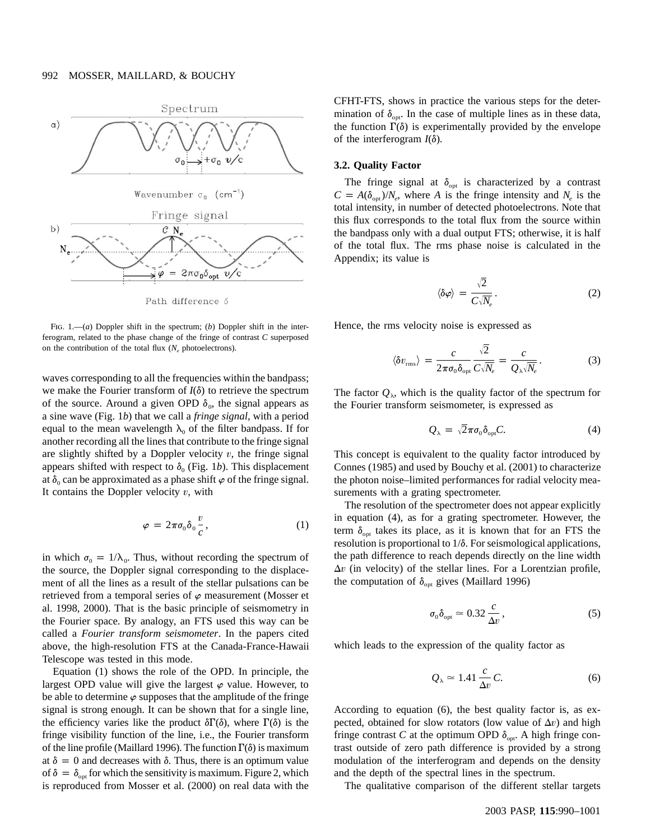

Path difference δ

Fig. 1.—(*a*) Doppler shift in the spectrum; (*b*) Doppler shift in the interferogram, related to the phase change of the fringe of contrast  $C$  superposed on the contribution of the total flux  $(N_e)$  photoelectrons).

waves corresponding to all the frequencies within the bandpass; we make the Fourier transform of  $I(\delta)$  to retrieve the spectrum of the source. Around a given OPD  $\delta_0$ , the signal appears as a sine wave (Fig. 1*b*) that we call a *fringe signal*, with a period equal to the mean wavelength  $\lambda_0$  of the filter bandpass. If for another recording all the lines that contribute to the fringe signal are slightly shifted by a Doppler velocity  $v$ , the fringe signal appears shifted with respect to  $\delta_0$  (Fig. 1*b*). This displacement at  $\delta_0$  can be approximated as a phase shift  $\varphi$  of the fringe signal. It contains the Doppler velocity  $v$ , with

$$
\varphi = 2\pi \sigma_0 \delta_0 \frac{v}{c}, \qquad (1)
$$

in which  $\sigma_0 = 1/\lambda_0$ . Thus, without recording the spectrum of the source, the Doppler signal corresponding to the displacement of all the lines as a result of the stellar pulsations can be retrieved from a temporal series of  $\varphi$  measurement (Mosser et al. 1998, 2000). That is the basic principle of seismometry in the Fourier space. By analogy, an FTS used this way can be called a *Fourier transform seismometer*. In the papers cited above, the high-resolution FTS at the Canada-France-Hawaii Telescope was tested in this mode.

Equation (1) shows the role of the OPD. In principle, the largest OPD value will give the largest  $\varphi$  value. However, to be able to determine  $\varphi$  supposes that the amplitude of the fringe signal is strong enough. It can be shown that for a single line, the efficiency varies like the product  $\delta \Gamma(\delta)$ , where  $\Gamma(\delta)$  is the fringe visibility function of the line, i.e., the Fourier transform of the line profile (Maillard 1996). The function  $\Gamma(\delta)$  is maximum at  $\delta = 0$  and decreases with  $\delta$ . Thus, there is an optimum value of  $\delta = \delta_{\text{opt}}$  for which the sensitivity is maximum. Figure 2, which is reproduced from Mosser et al. (2000) on real data with the CFHT-FTS, shows in practice the various steps for the determination of  $\delta_{\text{opt}}$ . In the case of multiple lines as in these data, the function  $\Gamma(\delta)$  is experimentally provided by the envelope of the interferogram  $I(\delta)$ .

#### **3.2. Quality Factor**

The fringe signal at  $\delta_{opt}$  is characterized by a contrast  $C = A(\delta_{\text{opt}})/N_e$ , where A is the fringe intensity and  $N_e$  is the total intensity, in number of detected photoelectrons. Note that this flux corresponds to the total flux from the source within the bandpass only with a dual output FTS; otherwise, it is half of the total flux. The rms phase noise is calculated in the Appendix; its value is

$$
\langle \delta \varphi \rangle = \frac{\sqrt{2}}{C \sqrt{N_e}}.
$$
 (2)

Hence, the rms velocity noise is expressed as

$$
\langle \delta v_{\rm rms} \rangle = \frac{c}{2\pi\sigma_0 \delta_{\rm opt}} \frac{\sqrt{2}}{C\sqrt{N_e}} = \frac{c}{Q_{\lambda} \sqrt{N_e}}.
$$
 (3)

The factor  $Q_{\lambda}$ , which is the quality factor of the spectrum for the Fourier transform seismometer, is expressed as

$$
Q_{\lambda} = \sqrt{2}\pi\sigma_0 \delta_{\text{opt}} C. \tag{4}
$$

This concept is equivalent to the quality factor introduced by Connes (1985) and used by Bouchy et al. (2001) to characterize the photon noise–limited performances for radial velocity measurements with a grating spectrometer.

The resolution of the spectrometer does not appear explicitly in equation (4), as for a grating spectrometer. However, the term  $\delta_{\text{opt}}$  takes its place, as it is known that for an FTS the resolution is proportional to  $1/\delta$ . For seismological applications, the path difference to reach depends directly on the line width  $\Delta v$  (in velocity) of the stellar lines. For a Lorentzian profile, the computation of  $\delta_{opt}$  gives (Maillard 1996)

$$
\sigma_0 \delta_{\rm opt} \simeq 0.32 \frac{c}{\Delta v},\tag{5}
$$

which leads to the expression of the quality factor as

$$
Q_{\lambda} \simeq 1.41 \frac{c}{\Delta v} C. \tag{6}
$$

According to equation (6), the best quality factor is, as expected, obtained for slow rotators (low value of  $\Delta v$ ) and high fringe contrast C at the optimum OPD  $\delta_{\text{opt}}$ . A high fringe contrast outside of zero path difference is provided by a strong modulation of the interferogram and depends on the density and the depth of the spectral lines in the spectrum.

The qualitative comparison of the different stellar targets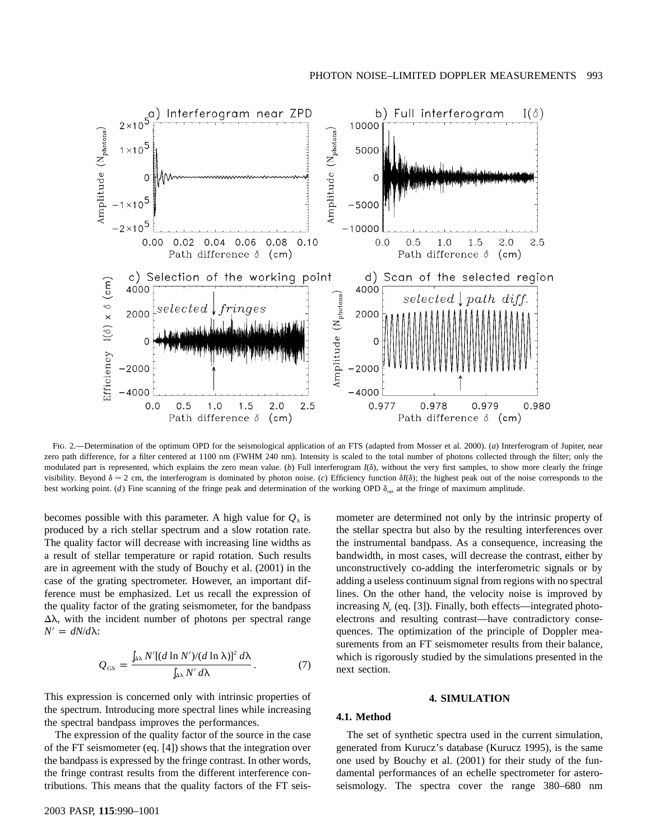

Fig. 2.—Determination of the optimum OPD for the seismological application of an FTS (adapted from Mosser et al. 2000). (*a*) Interferogram of Jupiter, near zero path difference, for a filter centered at 1100 nm (FWHM 240 nm). Intensity is scaled to the total number of photons collected through the filter; only the modulated part is represented, which explains the zero mean value. (b) Full interferogram  $I(\delta)$ , without the very first samples, to show more clearly the fringe visibility. Beyond  $\delta \approx 2$  cm, the interferogram is dominated by photon noise. (c) Efficiency function  $\delta l(\delta)$ ; the highest peak out of the noise corresponds to the best working point. (*d*) Fine scanning of the fringe peak and determination of the working OPD  $\delta_{opt}$  at the fringe of maximum amplitude.

becomes possible with this parameter. A high value for  $Q_{\lambda}$  is produced by a rich stellar spectrum and a slow rotation rate. The quality factor will decrease with increasing line widths as a result of stellar temperature or rapid rotation. Such results are in agreement with the study of Bouchy et al. (2001) in the case of the grating spectrometer. However, an important difference must be emphasized. Let us recall the expression of the quality factor of the grating seismometer, for the bandpass  $\Delta\lambda$ , with the incident number of photons per spectral range  $N' = dN/d\lambda$ :

$$
Q_{\text{GS}} = \frac{\int_{\Delta\lambda} N'[(d\ln N')/(d\ln\lambda)]^2 d\lambda}{\int_{\Delta\lambda} N' d\lambda}.
$$
 (7)

This expression is concerned only with intrinsic properties of the spectrum. Introducing more spectral lines while increasing the spectral bandpass improves the performances.

The expression of the quality factor of the source in the case of the FT seismometer (eq. [4]) shows that the integration over the bandpass is expressed by the fringe contrast. In other words, the fringe contrast results from the different interference contributions. This means that the quality factors of the FT seis-

mometer are determined not only by the intrinsic property of the stellar spectra but also by the resulting interferences over the instrumental bandpass. As a consequence, increasing the bandwidth, in most cases, will decrease the contrast, either by unconstructively co-adding the interferometric signals or by adding a useless continuum signal from regions with no spectral lines. On the other hand, the velocity noise is improved by increasing  $N_e$  (eq. [3]). Finally, both effects—integrated photoelectrons and resulting contrast—have contradictory consequences. The optimization of the principle of Doppler measurements from an FT seismometer results from their balance, which is rigorously studied by the simulations presented in the next section.

#### **4. SIMULATION**

# **4.1. Method**

The set of synthetic spectra used in the current simulation, generated from Kurucz's database (Kurucz 1995), is the same one used by Bouchy et al. (2001) for their study of the fundamental performances of an echelle spectrometer for asteroseismology. The spectra cover the range 380–680 nm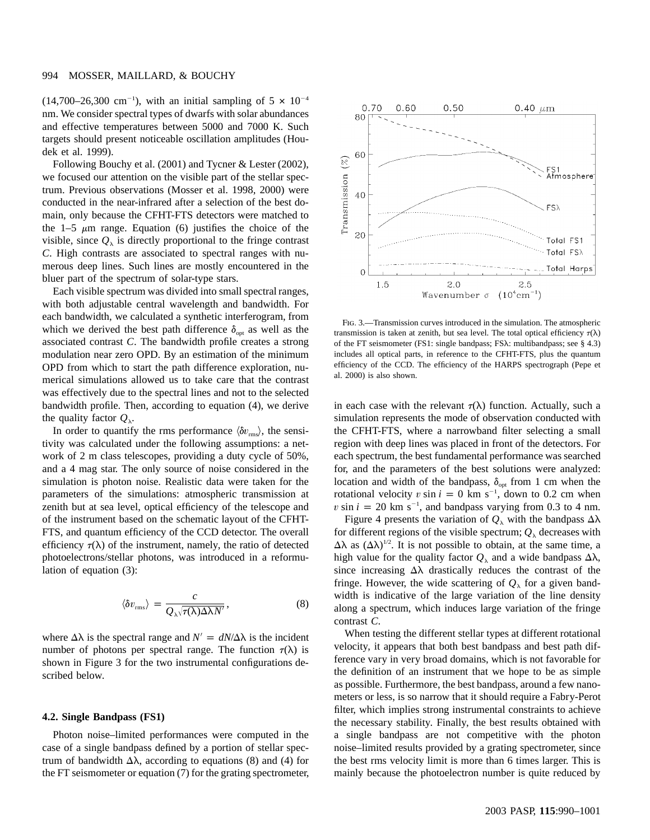### 994 MOSSER, MAILLARD, & BOUCHY

 $(14,700-26,300 \text{ cm}^{-1})$ , with an initial sampling of  $5 \times 10^{-4}$ nm. We consider spectral types of dwarfs with solar abundances and effective temperatures between 5000 and 7000 K. Such targets should present noticeable oscillation amplitudes (Houdek et al. 1999).

Following Bouchy et al. (2001) and Tycner & Lester (2002), we focused our attention on the visible part of the stellar spectrum. Previous observations (Mosser et al. 1998, 2000) were conducted in the near-infrared after a selection of the best domain, only because the CFHT-FTS detectors were matched to the 1–5  $\mu$ m range. Equation (6) justifies the choice of the visible, since  $Q_{\lambda}$  is directly proportional to the fringe contrast *C*. High contrasts are associated to spectral ranges with numerous deep lines. Such lines are mostly encountered in the bluer part of the spectrum of solar-type stars.

Each visible spectrum was divided into small spectral ranges, with both adjustable central wavelength and bandwidth. For each bandwidth, we calculated a synthetic interferogram, from which we derived the best path difference  $\delta_{opt}$  as well as the associated contrast C. The bandwidth profile creates a strong modulation near zero OPD. By an estimation of the minimum OPD from which to start the path difference exploration, numerical simulations allowed us to take care that the contrast was effectively due to the spectral lines and not to the selected bandwidth profile. Then, according to equation (4), we derive the quality factor  $Q_{\lambda}$ .

In order to quantify the rms performance  $\langle \delta v_{\rm rms} \rangle$ , the sensitivity was calculated under the following assumptions: a network of 2 m class telescopes, providing a duty cycle of 50%, and a 4 mag star. The only source of noise considered in the simulation is photon noise. Realistic data were taken for the parameters of the simulations: atmospheric transmission at zenith but at sea level, optical efficiency of the telescope and of the instrument based on the schematic layout of the CFHT-FTS, and quantum efficiency of the CCD detector. The overall efficiency  $\tau(\lambda)$  of the instrument, namely, the ratio of detected photoelectrons/stellar photons, was introduced in a reformulation of equation (3):

$$
\langle \delta v_{\rm rms} \rangle = \frac{c}{Q_{\lambda} \sqrt{\tau(\lambda) \Delta \lambda N'}} , \qquad (8)
$$

where  $\Delta\lambda$  is the spectral range and  $N' = dN/\Delta\lambda$  is the incident number of photons per spectral range. The function  $\tau(\lambda)$  is shown in Figure 3 for the two instrumental configurations described below.

## **4.2. Single Bandpass (FS1)**

Photon noise–limited performances were computed in the case of a single bandpass defined by a portion of stellar spectrum of bandwidth  $\Delta\lambda$ , according to equations (8) and (4) for the FT seismometer or equation (7) for the grating spectrometer,



Fig. 3.—Transmission curves introduced in the simulation. The atmospheric transmission is taken at zenith, but sea level. The total optical efficiency  $\tau(\lambda)$ of the FT seismometer (FS1: single bandpass; FS $\lambda$ : multibandpass; see § 4.3) includes all optical parts, in reference to the CFHT-FTS, plus the quantum efficiency of the CCD. The efficiency of the HARPS spectrograph (Pepe et al. 2000) is also shown.

in each case with the relevant  $\tau(\lambda)$  function. Actually, such a simulation represents the mode of observation conducted with the CFHT-FTS, where a narrowband filter selecting a small region with deep lines was placed in front of the detectors. For each spectrum, the best fundamental performance was searched for, and the parameters of the best solutions were analyzed: location and width of the bandpass,  $\delta_{opt}$  from 1 cm when the rotational velocity v sin  $i = 0$  km s<sup>-1</sup>, down to 0.2 cm when  $v \sin i = 20$  km s<sup>-1</sup>, and bandpass varying from 0.3 to 4 nm.

Figure 4 presents the variation of  $Q_{\lambda}$  with the bandpass  $\Delta\lambda$ for different regions of the visible spectrum;  $Q_{\lambda}$  decreases with  $\Delta\lambda$  as  $({\Delta\lambda})^{1/2}$ . It is not possible to obtain, at the same time, a high value for the quality factor  $Q_{\lambda}$  and a wide bandpass  $\Delta\lambda$ , since increasing  $\Delta\lambda$  drastically reduces the contrast of the fringe. However, the wide scattering of  $Q_{\lambda}$  for a given bandwidth is indicative of the large variation of the line density along a spectrum, which induces large variation of the fringe contrast  $C$ .

When testing the different stellar types at different rotational velocity, it appears that both best bandpass and best path difference vary in very broad domains, which is not favorable for the definition of an instrument that we hope to be as simple as possible. Furthermore, the best bandpass, around a few nanometers or less, is so narrow that it should require a Fabry-Perot filter, which implies strong instrumental constraints to achieve the necessary stability. Finally, the best results obtained with a single bandpass are not competitive with the photon noise–limited results provided by a grating spectrometer, since the best rms velocity limit is more than 6 times larger. This is mainly because the photoelectron number is quite reduced by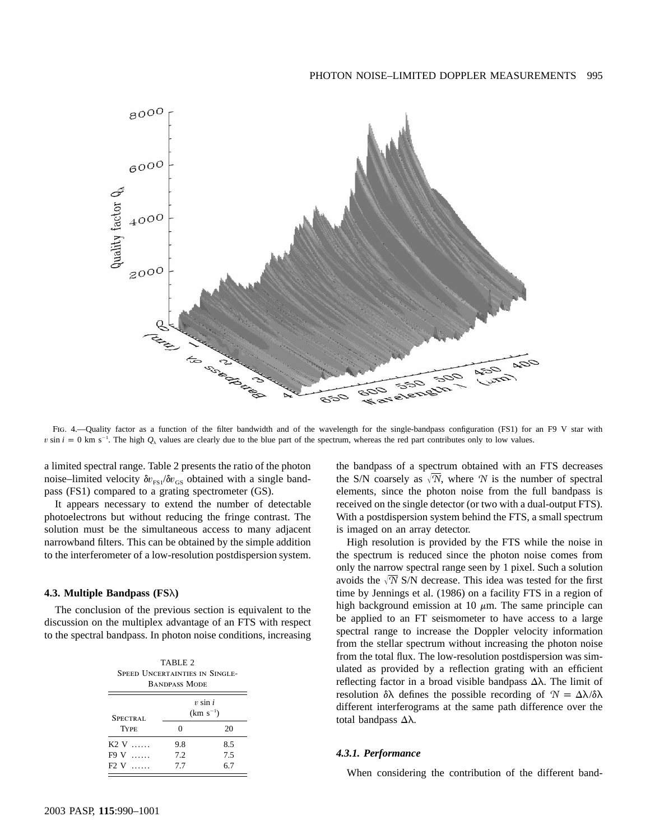

Fig. 4.—Quality factor as a function of the filter bandwidth and of the wavelength for the single-bandpass configuration (FS1) for an F9 V star with v sin  $i = 0$  km s<sup>-1</sup>. The high  $Q_{\lambda}$  values are clearly due to the blue part of the spectrum, whereas the red part contributes only to low values.

a limited spectral range. Table 2 presents the ratio of the photon noise–limited velocity  $\delta v_{\text{FS}} / \delta v_{\text{GS}}$  obtained with a single bandpass (FS1) compared to a grating spectrometer (GS).

It appears necessary to extend the number of detectable photoelectrons but without reducing the fringe contrast. The solution must be the simultaneous access to many adjacent narrowband filters. This can be obtained by the simple addition to the interferometer of a low-resolution postdispersion system.

#### **4.3. Multiple Bandpass (FS**l**)**

The conclusion of the previous section is equivalent to the discussion on the multiplex advantage of an FTS with respect to the spectral bandpass. In photon noise conditions, increasing

| TABLE 2<br>SPEED UNCERTAINTIES IN SINGLE-<br><b>BANDPASS MODE</b> |                             |     |  |  |  |  |  |
|-------------------------------------------------------------------|-----------------------------|-----|--|--|--|--|--|
| SPECTRAL                                                          | $v \sin i$<br>$(km s^{-1})$ |     |  |  |  |  |  |
| <b>TYPE</b>                                                       | 0                           | 20  |  |  |  |  |  |
| K2 V                                                              | 9.8                         | 8.5 |  |  |  |  |  |
| F9 V                                                              | 72                          | 7.5 |  |  |  |  |  |
| F2 V                                                              | 7.7                         | 6.7 |  |  |  |  |  |

the bandpass of a spectrum obtained with an FTS decreases the S/N coarsely as  $\sqrt{N}$ , where N is the number of spectral elements, since the photon noise from the full bandpass is received on the single detector (or two with a dual-output FTS). With a postdispersion system behind the FTS, a small spectrum is imaged on an array detector.

High resolution is provided by the FTS while the noise in the spectrum is reduced since the photon noise comes from only the narrow spectral range seen by 1 pixel. Such a solution avoids the  $\sqrt{N}$  S/N decrease. This idea was tested for the first time by Jennings et al. (1986) on a facility FTS in a region of high background emission at 10  $\mu$ m. The same principle can be applied to an FT seismometer to have access to a large spectral range to increase the Doppler velocity information from the stellar spectrum without increasing the photon noise from the total flux. The low-resolution postdispersion was simulated as provided by a reflection grating with an efficient reflecting factor in a broad visible bandpass  $\Delta\lambda$ . The limit of resolution  $\delta \lambda$  defines the possible recording of  $N = \Delta \lambda / \delta \lambda$ different interferograms at the same path difference over the total bandpass  $\Delta\lambda$ .

#### *4.3.1. Performance*

When considering the contribution of the different band-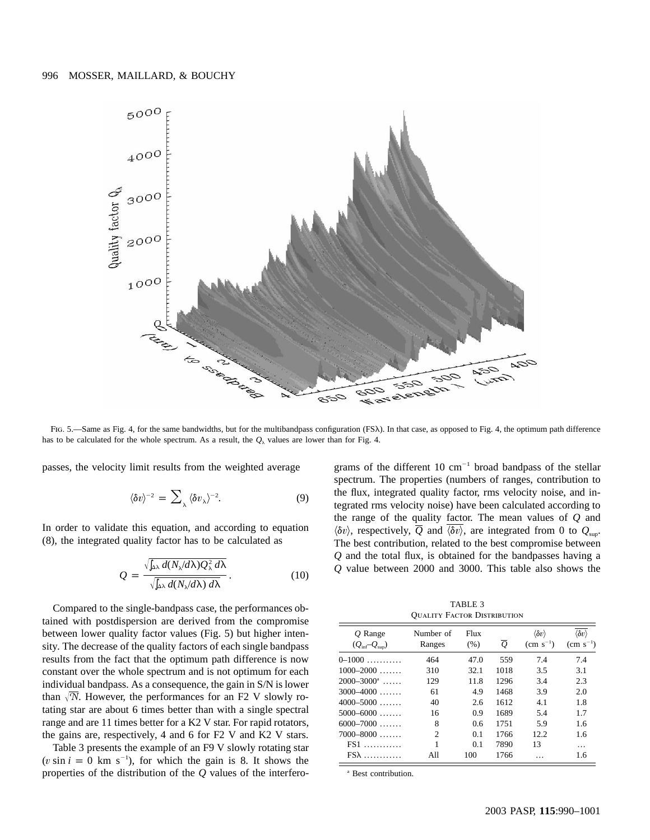

Fig. 5.—Same as Fig. 4, for the same bandwidths, but for the multibandpass configuration (FS $\lambda$ ). In that case, as opposed to Fig. 4, the optimum path difference has to be calculated for the whole spectrum. As a result, the  $Q_\lambda$  values are lower than for Fig. 4.

passes, the velocity limit results from the weighted average

$$
\langle \delta v \rangle^{-2} = \sum_{\lambda} \langle \delta v_{\lambda} \rangle^{-2}.
$$
 (9)

In order to validate this equation, and according to equation (8), the integrated quality factor has to be calculated as

$$
Q = \frac{\sqrt{\ln \lambda} d(N_{\lambda}/d\lambda) Q_{\lambda}^2 d\lambda}{\sqrt{\ln \lambda} d(N_{\lambda}/d\lambda) d\lambda}.
$$
 (10)

Compared to the single-bandpass case, the performances obtained with postdispersion are derived from the compromise between lower quality factor values (Fig. 5) but higher intensity. The decrease of the quality factors of each single bandpass results from the fact that the optimum path difference is now constant over the whole spectrum and is not optimum for each individual bandpass. As a consequence, the gain in S/N is lower than  $\sqrt{N}$ . However, the performances for an F2 V slowly rotating star are about 6 times better than with a single spectral range and are 11 times better for a K2 V star. For rapid rotators, the gains are, respectively, 4 and 6 for F2 V and K2 V stars.

Table 3 presents the example of an F9 V slowly rotating star ( $v \sin i = 0$  km s<sup>-1</sup>), for which the gain is 8. It shows the properties of the distribution of the *Q* values of the interferograms of the different 10  $cm^{-1}$  broad bandpass of the stellar spectrum. The properties (numbers of ranges, contribution to the flux, integrated quality factor, rms velocity noise, and integrated rms velocity noise) have been calculated according to the range of the quality factor. The mean values of *Q* and  $\langle \delta v \rangle$ , respectively,  $\overline{Q}$  and  $\overline{\langle \delta v \rangle}$ , are integrated from 0 to  $Q_{\text{sub}}$ . The best contribution, related to the best compromise between *Q* and the total flux, is obtained for the bandpasses having a *Q* value between 2000 and 3000. This table also shows the

TABLE 3 Quality Factor Distribution

| $O$ Range<br>$(Q_{\text{inf}}-Q_{\text{sup}})$ | Number of<br>Ranges | Flux<br>(% ) | $\overline{Q}$ | $\langle \delta v \rangle$<br>$\rm (cm \; s^{-1})$ | $\langle \delta v \rangle$<br>$\rm (cm \; s^{-1})$ |
|------------------------------------------------|---------------------|--------------|----------------|----------------------------------------------------|----------------------------------------------------|
| $0-1000$                                       | 464                 | 47.0         | 559            | 7.4                                                | 7.4                                                |
| $1000 - 2000$                                  | 310                 | 32.1         | 1018           | 3.5                                                | 3.1                                                |
| $2000 - 3000^{\circ}$                          | 129                 | 11.8         | 1296           | 3.4                                                | 2.3                                                |
| $3000 - 4000$                                  | 61                  | 4.9          | 1468           | 3.9                                                | 2.0                                                |
| $4000 - 5000$                                  | 40                  | 2.6          | 1612           | 4.1                                                | 1.8                                                |
| $5000 - 6000$                                  | 16                  | 0.9          | 1689           | 5.4                                                | 1.7                                                |
| $6000 - 7000$                                  | 8                   | 0.6          | 1751           | 5.9                                                | 1.6                                                |
| $7000 - 8000$                                  | $\mathfrak{D}$      | 0.1          | 1766           | 12.2                                               | 1.6                                                |
| $FS1$                                          | 1                   | 0.1          | 7890           | 13                                                 | $\ddotsc$                                          |
| $FS\lambda$                                    | A11                 | 100          | 1766           |                                                    | 1.6                                                |

<sup>a</sup> Best contribution.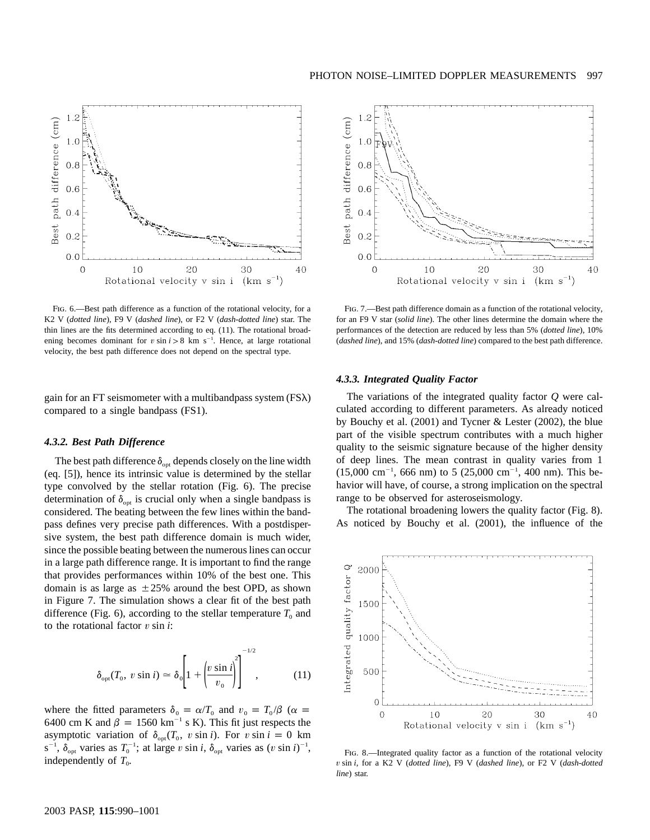

FIG. 6.—Best path difference as a function of the rotational velocity, for a K2 V (*dotted line*), F9 V (*dashed line*), or F2 V (*dash-dotted line*) star. The thin lines are the fits determined according to eq. (11). The rotational broadening becomes dominant for  $v \sin i > 8$  km s<sup>-1</sup>. Hence, at large rotational velocity, the best path difference does not depend on the spectral type.

gain for an FT seismometer with a multibandpass system  $(FS\lambda)$ compared to a single bandpass (FS1).

## *4.3.2. Best Path Difference*

The best path difference  $\delta_{opt}$  depends closely on the line width (eq. [5]), hence its intrinsic value is determined by the stellar type convolved by the stellar rotation (Fig. 6). The precise determination of  $\delta_{opt}$  is crucial only when a single bandpass is considered. The beating between the few lines within the bandpass defines very precise path differences. With a postdispersive system, the best path difference domain is much wider, since the possible beating between the numerous lines can occur in a large path difference range. It is important to find the range that provides performances within 10% of the best one. This domain is as large as  $\pm 25\%$  around the best OPD, as shown in Figure 7. The simulation shows a clear fit of the best path difference (Fig. 6), according to the stellar temperature  $T_0$  and to the rotational factor  $v \sin i$ :

$$
\delta_{\text{opt}}(T_0, v \sin i) \simeq \delta_0 \left[ 1 + \left( \frac{v \sin i}{v_0} \right)^2 \right]^{-1/2}, \quad (11)
$$

where the fitted parameters  $\delta_0 = \alpha/T_0$  and  $v_0 = T_0/\beta$  ( $\alpha =$ 6400 cm K and  $\beta = 1560 \text{ km}^{-1} \text{ s K}$ ). This fit just respects the asymptotic variation of  $\delta_{\text{opt}}(T_0, v \sin i)$ . For  $v \sin i = 0$  km  $s^{-1}$ ,  $\delta_{opt}$  varies as  $T_0^{-1}$ ; at large v sin *i*,  $\delta_{opt}$  varies as  $(v \sin i)^{-1}$ , independently of  $T_0$ .

PHOTON NOISE-LIMITED DOPPLER MEASUREMENTS 997



FIG. 7.—Best path difference domain as a function of the rotational velocity, for an F9 V star (*solid line*). The other lines determine the domain where the performances of the detection are reduced by less than 5% (*dotted line*), 10% (*dashed line*), and 15% (*dash-dotted line*) compared to the best path difference.

#### *4.3.3. Integrated Quality Factor*

The variations of the integrated quality factor *Q* were calculated according to different parameters. As already noticed by Bouchy et al. (2001) and Tycner & Lester (2002), the blue part of the visible spectrum contributes with a much higher quality to the seismic signature because of the higher density of deep lines. The mean contrast in quality varies from 1  $(15,000 \text{ cm}^{-1}, 666 \text{ nm})$  to 5  $(25,000 \text{ cm}^{-1}, 400 \text{ nm})$ . This behavior will have, of course, a strong implication on the spectral range to be observed for asteroseismology.

The rotational broadening lowers the quality factor (Fig. 8). As noticed by Bouchy et al. (2001), the influence of the



FIG. 8.-Integrated quality factor as a function of the rotational velocity *v* sin *i*, for a K2 V (*dotted line*), F9 V (*dashed line*), or F2 V (*dash-dotted line*) star.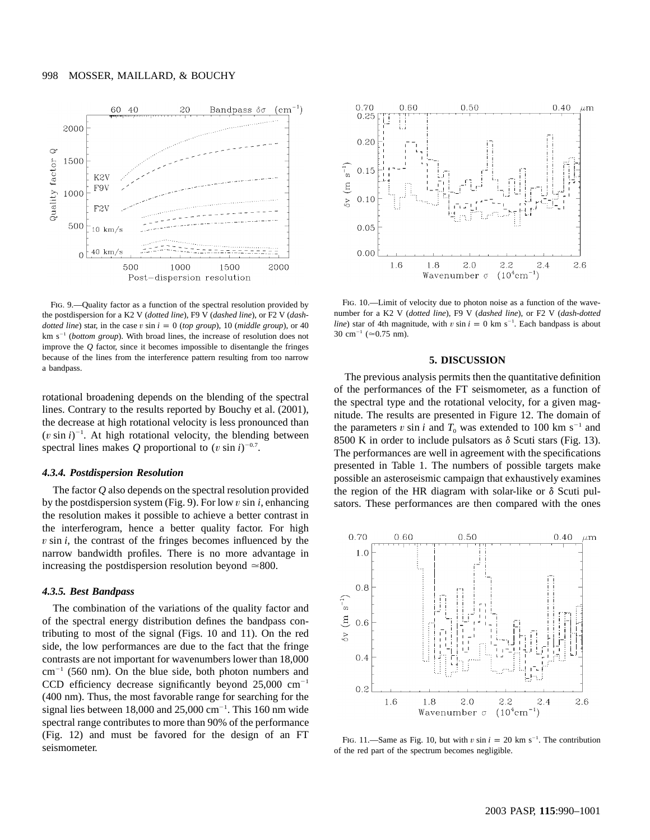

Fig. 9.—Quality factor as a function of the spectral resolution provided by the postdispersion for a K2 V (*dotted line*), F9 V (*dashed line*), or F2 V (*dashdotted line*) star, in the case  $v \sin i = 0$  (*top group*), 10 (*middle group*), or 40 km  $s^{-1}$  (*bottom group*). With broad lines, the increase of resolution does not improve the *Q* factor, since it becomes impossible to disentangle the fringes because of the lines from the interference pattern resulting from too narrow a bandpass.

rotational broadening depends on the blending of the spectral lines. Contrary to the results reported by Bouchy et al. (2001), the decrease at high rotational velocity is less pronounced than  $(v \sin i)^{-1}$ . At high rotational velocity, the blending between spectral lines makes *Q* proportional to  $(v \sin i)^{-0.7}$ .

# *4.3.4. Postdispersion Resolution*

The factor *Q* also depends on the spectral resolution provided by the postdispersion system (Fig. 9). For low  $v \sin i$ , enhancing the resolution makes it possible to achieve a better contrast in the interferogram, hence a better quality factor. For high *v* sin *i*, the contrast of the fringes becomes influenced by the narrow bandwidth profiles. There is no more advantage in increasing the postdispersion resolution beyond  $\simeq 800$ .

#### *4.3.5. Best Bandpass*

The combination of the variations of the quality factor and of the spectral energy distribution defines the bandpass contributing to most of the signal (Figs. 10 and 11). On the red side, the low performances are due to the fact that the fringe contrasts are not important for wavenumbers lower than 18,000  $cm^{-1}$  (560 nm). On the blue side, both photon numbers and CCD efficiency decrease significantly beyond  $25,000 \text{ cm}^{-1}$ (400 nm). Thus, the most favorable range for searching for the signal lies between 18,000 and 25,000 cm<sup>-1</sup>. This 160 nm wide spectral range contributes to more than 90% of the performance (Fig. 12) and must be favored for the design of an FT seismometer.



FIG. 10.—Limit of velocity due to photon noise as a function of the wavenumber for a K2 V (*dotted line*), F9 V (*dashed line*), or F2 V (*dash-dotted line*) star of 4th magnitude, with v sin  $i = 0$  km s<sup>-1</sup>. Each bandpass is about 30 cm<sup>-1</sup> ( $\simeq$ 0.75 nm).

#### **5. DISCUSSION**

The previous analysis permits then the quantitative definition of the performances of the FT seismometer, as a function of the spectral type and the rotational velocity, for a given magnitude. The results are presented in Figure 12. The domain of the parameters v sin *i* and  $T_0$  was extended to 100 km s<sup>-1</sup> and 8500 K in order to include pulsators as  $\delta$  Scuti stars (Fig. 13). The performances are well in agreement with the specifications presented in Table 1. The numbers of possible targets make possible an asteroseismic campaign that exhaustively examines the region of the HR diagram with solar-like or  $\delta$  Scuti pulsators. These performances are then compared with the ones



FIG. 11.—Same as Fig. 10, but with  $v \sin i = 20$  km s<sup>-1</sup>. The contribution of the red part of the spectrum becomes negligible.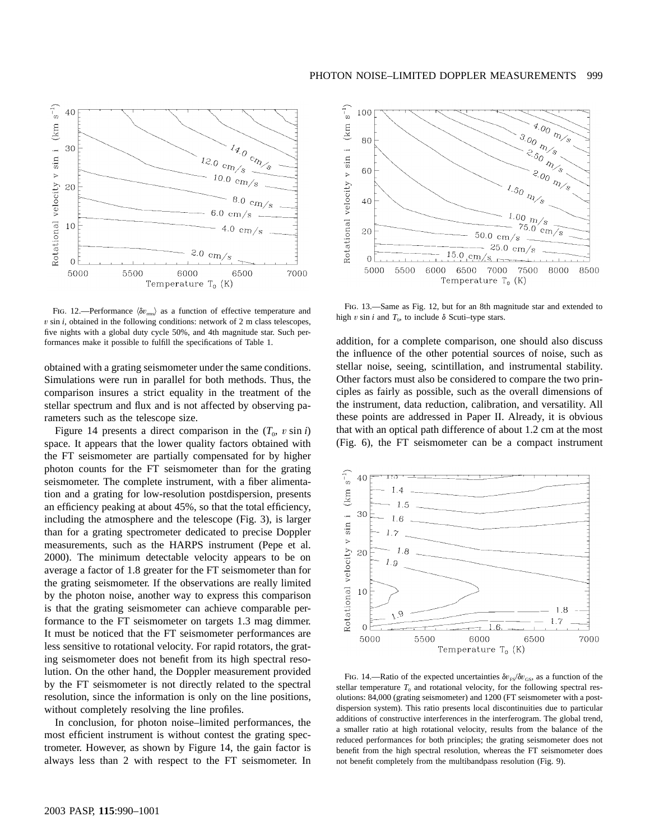

FIG. 12.—Performance  $\langle \delta v_{\rm rms} \rangle$  as a function of effective temperature and *v* sin *i*, obtained in the following conditions: network of 2 m class telescopes, five nights with a global duty cycle 50%, and 4th magnitude star. Such performances make it possible to fulfill the specifications of Table 1.

obtained with a grating seismometer under the same conditions. Simulations were run in parallel for both methods. Thus, the comparison insures a strict equality in the treatment of the stellar spectrum and flux and is not affected by observing parameters such as the telescope size.

Figure 14 presents a direct comparison in the  $(T_0, v \sin i)$ space. It appears that the lower quality factors obtained with the FT seismometer are partially compensated for by higher photon counts for the FT seismometer than for the grating seismometer. The complete instrument, with a fiber alimentation and a grating for low-resolution postdispersion, presents an efficiency peaking at about 45%, so that the total efficiency, including the atmosphere and the telescope (Fig. 3), is larger than for a grating spectrometer dedicated to precise Doppler measurements, such as the HARPS instrument (Pepe et al. 2000). The minimum detectable velocity appears to be on average a factor of 1.8 greater for the FT seismometer than for the grating seismometer. If the observations are really limited by the photon noise, another way to express this comparison is that the grating seismometer can achieve comparable performance to the FT seismometer on targets 1.3 mag dimmer. It must be noticed that the FT seismometer performances are less sensitive to rotational velocity. For rapid rotators, the grating seismometer does not benefit from its high spectral resolution. On the other hand, the Doppler measurement provided by the FT seismometer is not directly related to the spectral resolution, since the information is only on the line positions, without completely resolving the line profiles.

In conclusion, for photon noise–limited performances, the most efficient instrument is without contest the grating spectrometer. However, as shown by Figure 14, the gain factor is always less than 2 with respect to the FT seismometer. In



Fig. 13.—Same as Fig. 12, but for an 8th magnitude star and extended to high  $v \sin i$  and  $T_0$ , to include  $\delta$  Scuti–type stars.

addition, for a complete comparison, one should also discuss the influence of the other potential sources of noise, such as stellar noise, seeing, scintillation, and instrumental stability. Other factors must also be considered to compare the two principles as fairly as possible, such as the overall dimensions of the instrument, data reduction, calibration, and versatility. All these points are addressed in Paper II. Already, it is obvious that with an optical path difference of about 1.2 cm at the most (Fig. 6), the FT seismometer can be a compact instrument



FIG. 14.—Ratio of the expected uncertainties  $\delta v_{FS}/\delta v_{GS}$ , as a function of the stellar temperature  $T_0$  and rotational velocity, for the following spectral resolutions: 84,000 (grating seismometer) and 1200 (FT seismometer with a postdispersion system). This ratio presents local discontinuities due to particular additions of constructive interferences in the interferogram. The global trend, a smaller ratio at high rotational velocity, results from the balance of the reduced performances for both principles; the grating seismometer does not benefit from the high spectral resolution, whereas the FT seismometer does not benefit completely from the multibandpass resolution (Fig. 9).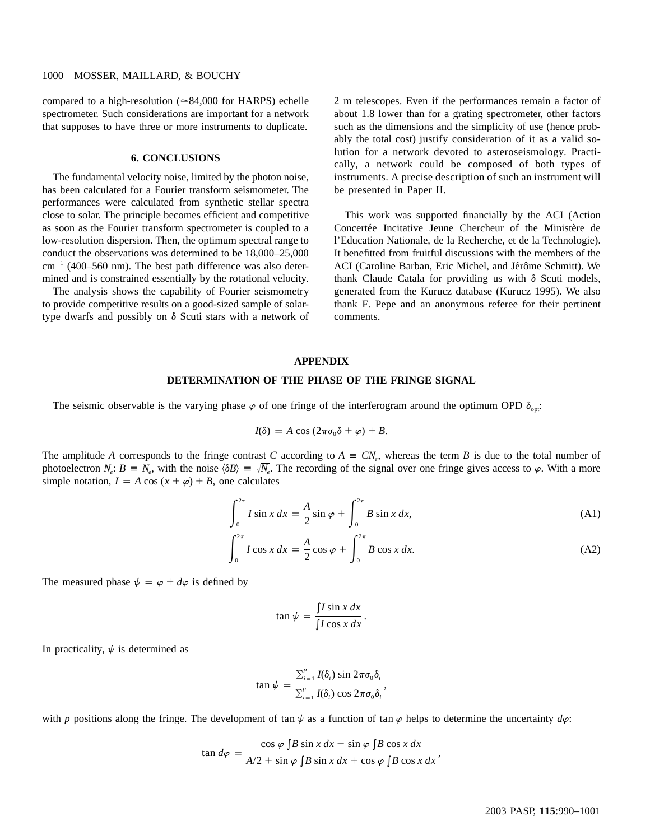# 1000 MOSSER, MAILLARD, & BOUCHY

compared to a high-resolution  $(\approx 84,000)$  for HARPS) echelle spectrometer. Such considerations are important for a network that supposes to have three or more instruments to duplicate.

# **6. CONCLUSIONS**

The fundamental velocity noise, limited by the photon noise, has been calculated for a Fourier transform seismometer. The performances were calculated from synthetic stellar spectra close to solar. The principle becomes efficient and competitive as soon as the Fourier transform spectrometer is coupled to a low-resolution dispersion. Then, the optimum spectral range to conduct the observations was determined to be 18,000–25,000  $cm^{-1}$  (400–560 nm). The best path difference was also determined and is constrained essentially by the rotational velocity.

The analysis shows the capability of Fourier seismometry to provide competitive results on a good-sized sample of solartype dwarfs and possibly on  $\delta$  Scuti stars with a network of 2 m telescopes. Even if the performances remain a factor of about 1.8 lower than for a grating spectrometer, other factors such as the dimensions and the simplicity of use (hence probably the total cost) justify consideration of it as a valid solution for a network devoted to asteroseismology. Practically, a network could be composed of both types of instruments. A precise description of such an instrument will be presented in Paper II.

This work was supported financially by the ACI (Action Concertée Incitative Jeune Chercheur of the Ministère de l'Education Nationale, de la Recherche, et de la Technologie). It benefitted from fruitful discussions with the members of the ACI (Caroline Barban, Eric Michel, and Jérôme Schmitt). We thank Claude Catala for providing us with  $\delta$  Scuti models, generated from the Kurucz database (Kurucz 1995). We also thank F. Pepe and an anonymous referee for their pertinent comments.

#### **APPENDIX**

#### **DETERMINATION OF THE PHASE OF THE FRINGE SIGNAL**

The seismic observable is the varying phase  $\varphi$  of one fringe of the interferogram around the optimum OPD  $\delta_{\text{out}}$ .

$$
I(\delta) = A \cos (2\pi \sigma_0 \delta + \varphi) + B.
$$

The amplitude A corresponds to the fringe contrast C according to  $A = CN_a$ , whereas the term B is due to the total number of photoelectron  $N_e$ :  $B = N_e$ , with the noise  $\langle \delta B \rangle = \sqrt{N_e}$ . The recording of the signal over one fringe gives access to  $\varphi$ . With a more simple notation,  $I = A \cos(x + \varphi) + B$ , one calculates

$$
\int_0^{2\pi} I \sin x \, dx = \frac{A}{2} \sin \varphi + \int_0^{2\pi} B \sin x \, dx,\tag{A1}
$$

$$
\int_0^{2\pi} I \cos x \, dx = \frac{A}{2} \cos \varphi + \int_0^{2\pi} B \cos x \, dx. \tag{A2}
$$

The measured phase  $\psi = \varphi + d\varphi$  is defined by

$$
\tan\psi = \frac{\int I\sin x \, dx}{\int I\cos x \, dx}.
$$

In practicality,  $\psi$  is determined as

$$
\tan \psi = \frac{\sum_{i=1}^{p} I(\delta_i) \sin 2\pi \sigma_0 \delta_i}{\sum_{i=1}^{p} I(\delta_i) \cos 2\pi \sigma_0 \delta_i},
$$

with *p* positions along the fringe. The development of tan  $\psi$  as a function of tan  $\varphi$  helps to determine the uncertainty  $d\varphi$ :

$$
\tan d\varphi = \frac{\cos \varphi \int B \sin x \, dx - \sin \varphi \int B \cos x \, dx}{A/2 + \sin \varphi \int B \sin x \, dx + \cos \varphi \int B \cos x \, dx},
$$